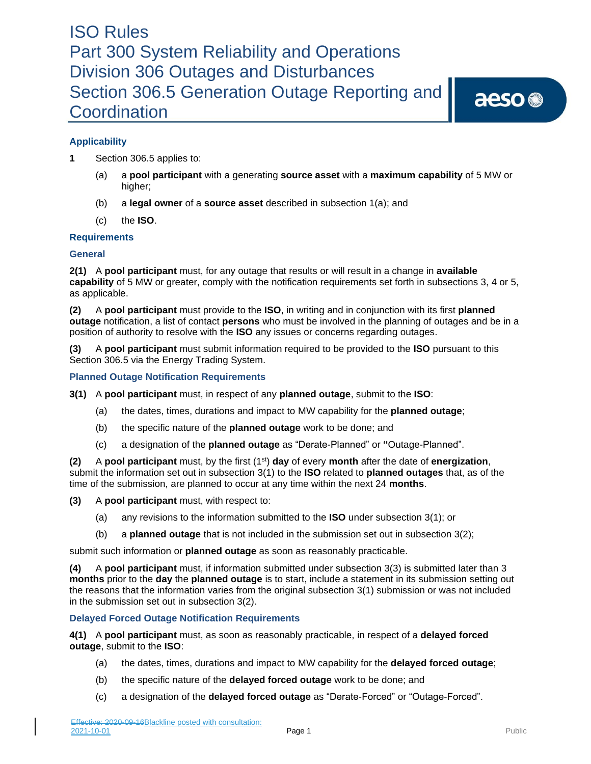aeso<sup>®</sup>

### **Applicability**

- **1** Section 306.5 applies to:
	- (a) a **pool participant** with a generating **source asset** with a **maximum capability** of 5 MW or higher;
	- (b) a **legal owner** of a **source asset** described in subsection 1(a); and
	- (c) the **ISO**.

### **Requirements**

### **General**

**2(1)** A **pool participant** must, for any outage that results or will result in a change in **available capability** of 5 MW or greater, comply with the notification requirements set forth in subsections 3, 4 or 5, as applicable.

**(2)** A **pool participant** must provide to the **ISO**, in writing and in conjunction with its first **planned outage** notification, a list of contact **persons** who must be involved in the planning of outages and be in a position of authority to resolve with the **ISO** any issues or concerns regarding outages.

**(3)** A **pool participant** must submit information required to be provided to the **ISO** pursuant to this Section 306.5 via the Energy Trading System.

### **Planned Outage Notification Requirements**

- **3(1)** A **pool participant** must, in respect of any **planned outage**, submit to the **ISO**:
	- (a) the dates, times, durations and impact to MW capability for the **planned outage**;
	- (b) the specific nature of the **planned outage** work to be done; and
	- (c) a designation of the **planned outage** as "Derate-Planned" or **"**Outage-Planned".

**(2)** A **pool participant** must, by the first (1st) **day** of every **month** after the date of **energization**, submit the information set out in subsection 3(1) to the **ISO** related to **planned outages** that, as of the time of the submission, are planned to occur at any time within the next 24 **months**.

**(3)** A **pool participant** must, with respect to:

- (a) any revisions to the information submitted to the **ISO** under subsection 3(1); or
- (b) a **planned outage** that is not included in the submission set out in subsection 3(2);

submit such information or **planned outage** as soon as reasonably practicable.

**(4)** A **pool participant** must, if information submitted under subsection 3(3) is submitted later than 3 **months** prior to the **day** the **planned outage** is to start, include a statement in its submission setting out the reasons that the information varies from the original subsection 3(1) submission or was not included in the submission set out in subsection 3(2).

### **Delayed Forced Outage Notification Requirements**

**4(1)** A **pool participant** must, as soon as reasonably practicable, in respect of a **delayed forced outage**, submit to the **ISO**:

- (a) the dates, times, durations and impact to MW capability for the **delayed forced outage**;
- (b) the specific nature of the **delayed forced outage** work to be done; and
- (c) a designation of the **delayed forced outage** as "Derate-Forced" or "Outage-Forced".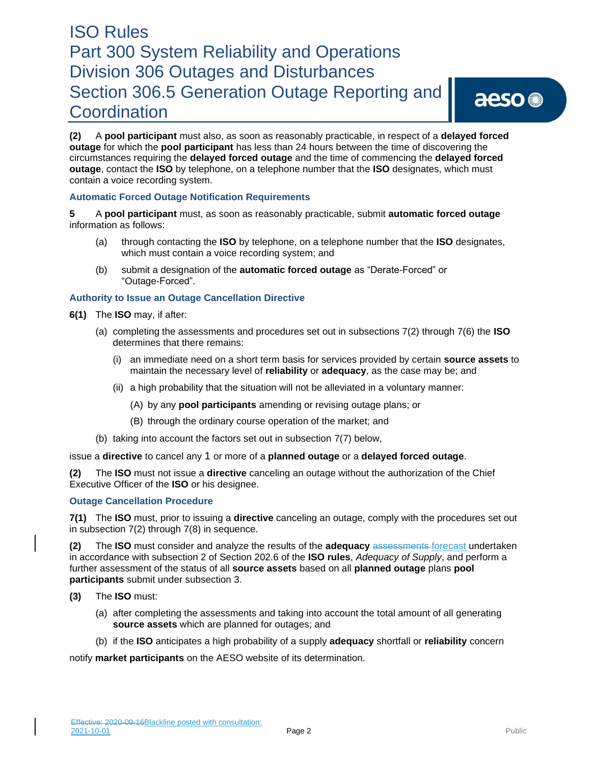**(2)** A **pool participant** must also, as soon as reasonably practicable, in respect of a **delayed forced outage** for which the **pool participant** has less than 24 hours between the time of discovering the circumstances requiring the **delayed forced outage** and the time of commencing the **delayed forced outage**, contact the **ISO** by telephone, on a telephone number that the **ISO** designates, which must contain a voice recording system.

### **Automatic Forced Outage Notification Requirements**

**5** A **pool participant** must, as soon as reasonably practicable, submit **automatic forced outage** information as follows:

- (a) through contacting the **ISO** by telephone, on a telephone number that the **ISO** designates, which must contain a voice recording system; and
- (b) submit a designation of the **automatic forced outage** as "Derate-Forced" or "Outage-Forced".

### **Authority to Issue an Outage Cancellation Directive**

- **6(1)** The **ISO** may, if after:
	- (a) completing the assessments and procedures set out in subsections 7(2) through 7(6) the **ISO**  determines that there remains:
		- (i) an immediate need on a short term basis for services provided by certain **source assets** to maintain the necessary level of **reliability** or **adequacy**, as the case may be; and
		- (ii) a high probability that the situation will not be alleviated in a voluntary manner:
			- (A) by any **pool participants** amending or revising outage plans; or
			- (B) through the ordinary course operation of the market; and
	- (b) taking into account the factors set out in subsection 7(7) below,

issue a **directive** to cancel any 1 or more of a **planned outage** or a **delayed forced outage**.

**(2)** The **ISO** must not issue a **directive** canceling an outage without the authorization of the Chief Executive Officer of the **ISO** or his designee.

### **Outage Cancellation Procedure**

**7(1)** The **ISO** must, prior to issuing a **directive** canceling an outage, comply with the procedures set out in subsection 7(2) through 7(8) in sequence.

**(2)** The **ISO** must consider and analyze the results of the **adequacy** assessments forecast undertaken in accordance with subsection 2 of Section 202.6 of the **ISO rules**, *Adequacy of Supply*, and perform a further assessment of the status of all **source assets** based on all **planned outage** plans **pool participants** submit under subsection 3.

- **(3)** The **ISO** must:
	- (a) after completing the assessments and taking into account the total amount of all generating **source assets** which are planned for outages; and
	- (b) if the **ISO** anticipates a high probability of a supply **adequacy** shortfall or **reliability** concern

notify **market participants** on the AESO website of its determination.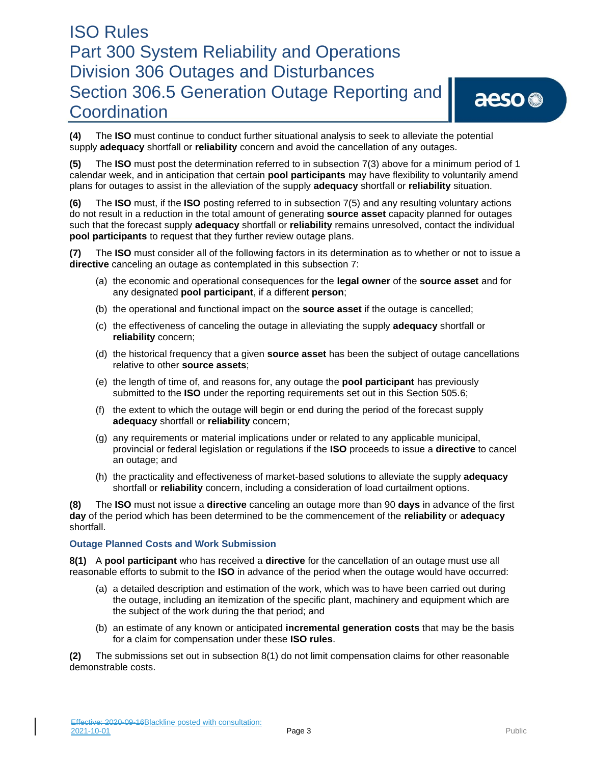aeso<sup>®</sup>

**(4)** The **ISO** must continue to conduct further situational analysis to seek to alleviate the potential supply **adequacy** shortfall or **reliability** concern and avoid the cancellation of any outages.

**(5)** The **ISO** must post the determination referred to in subsection 7(3) above for a minimum period of 1 calendar week, and in anticipation that certain **pool participants** may have flexibility to voluntarily amend plans for outages to assist in the alleviation of the supply **adequacy** shortfall or **reliability** situation.

**(6)** The **ISO** must, if the **ISO** posting referred to in subsection 7(5) and any resulting voluntary actions do not result in a reduction in the total amount of generating **source asset** capacity planned for outages such that the forecast supply **adequacy** shortfall or **reliability** remains unresolved, contact the individual **pool participants** to request that they further review outage plans.

**(7)** The **ISO** must consider all of the following factors in its determination as to whether or not to issue a **directive** canceling an outage as contemplated in this subsection 7:

- (a) the economic and operational consequences for the **legal owner** of the **source asset** and for any designated **pool participant**, if a different **person**;
- (b) the operational and functional impact on the **source asset** if the outage is cancelled;
- (c) the effectiveness of canceling the outage in alleviating the supply **adequacy** shortfall or **reliability** concern;
- (d) the historical frequency that a given **source asset** has been the subject of outage cancellations relative to other **source assets**;
- (e) the length of time of, and reasons for, any outage the **pool participant** has previously submitted to the **ISO** under the reporting requirements set out in this Section 505.6;
- (f) the extent to which the outage will begin or end during the period of the forecast supply **adequacy** shortfall or **reliability** concern;
- (g) any requirements or material implications under or related to any applicable municipal, provincial or federal legislation or regulations if the **ISO** proceeds to issue a **directive** to cancel an outage; and
- (h) the practicality and effectiveness of market-based solutions to alleviate the supply **adequacy**  shortfall or **reliability** concern, including a consideration of load curtailment options.

**(8)** The **ISO** must not issue a **directive** canceling an outage more than 90 **days** in advance of the first **day** of the period which has been determined to be the commencement of the **reliability** or **adequacy**  shortfall.

### **Outage Planned Costs and Work Submission**

**8(1)** A **pool participant** who has received a **directive** for the cancellation of an outage must use all reasonable efforts to submit to the **ISO** in advance of the period when the outage would have occurred:

- (a) a detailed description and estimation of the work, which was to have been carried out during the outage, including an itemization of the specific plant, machinery and equipment which are the subject of the work during the that period; and
- (b) an estimate of any known or anticipated **incremental generation costs** that may be the basis for a claim for compensation under these **ISO rules**.

**(2)** The submissions set out in subsection 8(1) do not limit compensation claims for other reasonable demonstrable costs.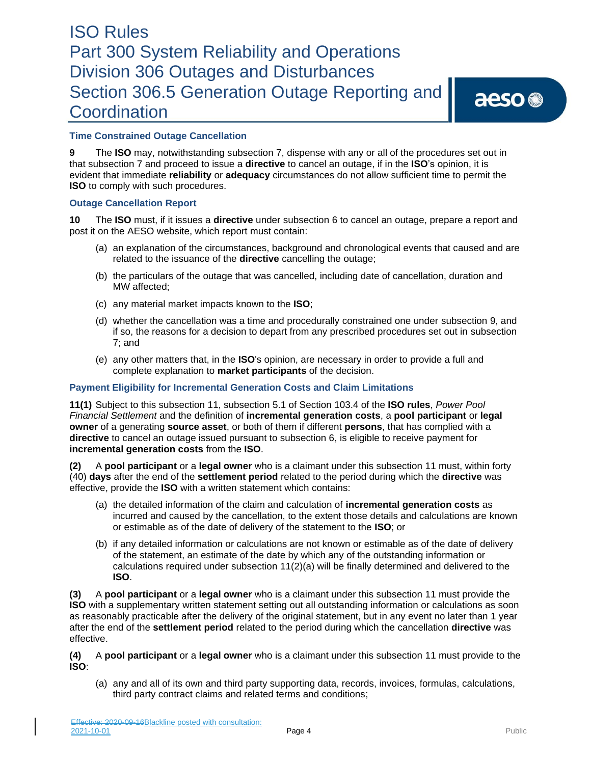### **Time Constrained Outage Cancellation**

**9** The **ISO** may, notwithstanding subsection 7, dispense with any or all of the procedures set out in that subsection 7 and proceed to issue a **directive** to cancel an outage, if in the **ISO**'s opinion, it is evident that immediate **reliability** or **adequacy** circumstances do not allow sufficient time to permit the **ISO** to comply with such procedures.

### **Outage Cancellation Report**

**10** The **ISO** must, if it issues a **directive** under subsection 6 to cancel an outage, prepare a report and post it on the AESO website, which report must contain:

- (a) an explanation of the circumstances, background and chronological events that caused and are related to the issuance of the **directive** cancelling the outage;
- (b) the particulars of the outage that was cancelled, including date of cancellation, duration and MW affected;
- (c) any material market impacts known to the **ISO**;
- (d) whether the cancellation was a time and procedurally constrained one under subsection 9, and if so, the reasons for a decision to depart from any prescribed procedures set out in subsection 7; and
- (e) any other matters that, in the **ISO**'s opinion, are necessary in order to provide a full and complete explanation to **market participants** of the decision.

### **Payment Eligibility for Incremental Generation Costs and Claim Limitations**

**11(1)** Subject to this subsection 11, subsection 5.1 of Section 103.4 of the **ISO rules**, *Power Pool Financial Settlement* and the definition of **incremental generation costs**, a **pool participant** or **legal owner** of a generating **source asset**, or both of them if different **persons**, that has complied with a **directive** to cancel an outage issued pursuant to subsection 6, is eligible to receive payment for **incremental generation costs** from the **ISO**.

**(2)** A **pool participant** or a **legal owner** who is a claimant under this subsection 11 must, within forty (40) **days** after the end of the **settlement period** related to the period during which the **directive** was effective, provide the **ISO** with a written statement which contains:

- (a) the detailed information of the claim and calculation of **incremental generation costs** as incurred and caused by the cancellation, to the extent those details and calculations are known or estimable as of the date of delivery of the statement to the **ISO**; or
- (b) if any detailed information or calculations are not known or estimable as of the date of delivery of the statement, an estimate of the date by which any of the outstanding information or calculations required under subsection 11(2)(a) will be finally determined and delivered to the **ISO**.

**(3)** A **pool participant** or a **legal owner** who is a claimant under this subsection 11 must provide the **ISO** with a supplementary written statement setting out all outstanding information or calculations as soon as reasonably practicable after the delivery of the original statement, but in any event no later than 1 year after the end of the **settlement period** related to the period during which the cancellation **directive** was effective.

**(4)** A **pool participant** or a **legal owner** who is a claimant under this subsection 11 must provide to the **ISO**:

(a) any and all of its own and third party supporting data, records, invoices, formulas, calculations, third party contract claims and related terms and conditions;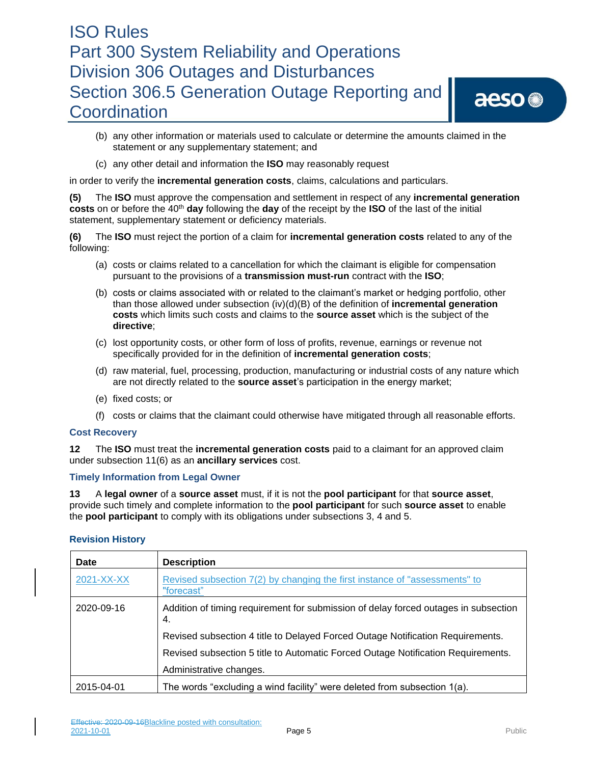aeso<sup>®</sup>

- (b) any other information or materials used to calculate or determine the amounts claimed in the statement or any supplementary statement; and
- (c) any other detail and information the **ISO** may reasonably request

in order to verify the **incremental generation costs**, claims, calculations and particulars.

**(5)** The **ISO** must approve the compensation and settlement in respect of any **incremental generation costs** on or before the 40<sup>th</sup> **day** following the **day** of the receipt by the **ISO** of the last of the initial statement, supplementary statement or deficiency materials.

**(6)** The **ISO** must reject the portion of a claim for **incremental generation costs** related to any of the following:

- (a) costs or claims related to a cancellation for which the claimant is eligible for compensation pursuant to the provisions of a **transmission must-run** contract with the **ISO**;
- (b) costs or claims associated with or related to the claimant's market or hedging portfolio, other than those allowed under subsection (iv)(d)(B) of the definition of **incremental generation costs** which limits such costs and claims to the **source asset** which is the subject of the **directive**;
- (c) lost opportunity costs, or other form of loss of profits, revenue, earnings or revenue not specifically provided for in the definition of **incremental generation costs**;
- (d) raw material, fuel, processing, production, manufacturing or industrial costs of any nature which are not directly related to the **source asset**'s participation in the energy market;
- (e) fixed costs; or
- (f) costs or claims that the claimant could otherwise have mitigated through all reasonable efforts.

### **Cost Recovery**

**12** The **ISO** must treat the **incremental generation costs** paid to a claimant for an approved claim under subsection 11(6) as an **ancillary services** cost.

### **Timely Information from Legal Owner**

**13** A **legal owner** of a **source asset** must, if it is not the **pool participant** for that **source asset**, provide such timely and complete information to the **pool participant** for such **source asset** to enable the **pool participant** to comply with its obligations under subsections 3, 4 and 5.

| <b>Revision History</b> |  |
|-------------------------|--|
|-------------------------|--|

| <b>Date</b> | <b>Description</b>                                                                        |
|-------------|-------------------------------------------------------------------------------------------|
| 2021-XX-XX  | Revised subsection 7(2) by changing the first instance of "assessments" to<br>"forecast"  |
| 2020-09-16  | Addition of timing requirement for submission of delay forced outages in subsection<br>4. |
|             | Revised subsection 4 title to Delayed Forced Outage Notification Requirements.            |
|             | Revised subsection 5 title to Automatic Forced Outage Notification Requirements.          |
|             | Administrative changes.                                                                   |
| 2015-04-01  | The words "excluding a wind facility" were deleted from subsection 1(a).                  |